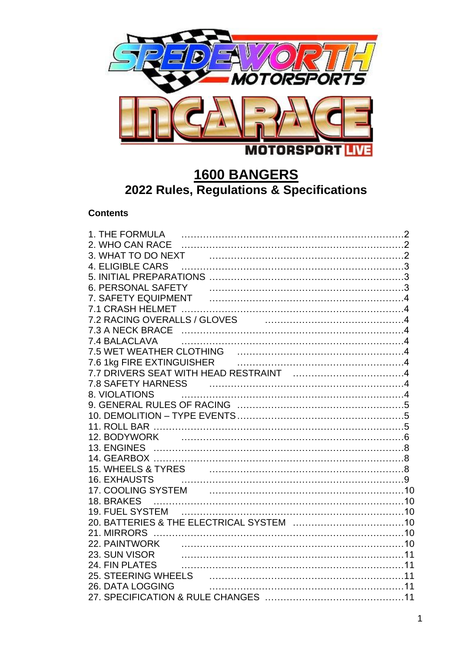

# **1600 BANGERS 2022 Rules, Regulations & Specifications**

# **Contents**

| 2. WHO CAN RACE                                                                                                                                                                                                               |  |
|-------------------------------------------------------------------------------------------------------------------------------------------------------------------------------------------------------------------------------|--|
|                                                                                                                                                                                                                               |  |
|                                                                                                                                                                                                                               |  |
|                                                                                                                                                                                                                               |  |
|                                                                                                                                                                                                                               |  |
|                                                                                                                                                                                                                               |  |
|                                                                                                                                                                                                                               |  |
|                                                                                                                                                                                                                               |  |
|                                                                                                                                                                                                                               |  |
| 7.4 BALACLAVA                                                                                                                                                                                                                 |  |
|                                                                                                                                                                                                                               |  |
|                                                                                                                                                                                                                               |  |
|                                                                                                                                                                                                                               |  |
| <b>7.8 SAFETY HARNESS</b>                                                                                                                                                                                                     |  |
| 8. VIOLATIONS                                                                                                                                                                                                                 |  |
|                                                                                                                                                                                                                               |  |
|                                                                                                                                                                                                                               |  |
|                                                                                                                                                                                                                               |  |
|                                                                                                                                                                                                                               |  |
|                                                                                                                                                                                                                               |  |
|                                                                                                                                                                                                                               |  |
|                                                                                                                                                                                                                               |  |
| <b>16. EXHAUSTS</b>                                                                                                                                                                                                           |  |
| 17. COOLING SYSTEM [1999] [1999] [1999] [1999] [1999] [1999] [1999] [1999] [1999] [1999] [1999] [1999] [1999] [1999] [1999] [1999] [1999] [1999] [1999] [1999] [1999] [1999] [1999] [1999] [1999] [1999] [1999] [1999] [1999] |  |
| 18. BRAKES                                                                                                                                                                                                                    |  |
|                                                                                                                                                                                                                               |  |
|                                                                                                                                                                                                                               |  |
|                                                                                                                                                                                                                               |  |
|                                                                                                                                                                                                                               |  |
| 23. SUN VISOR                                                                                                                                                                                                                 |  |
| 24. FIN PLATES                                                                                                                                                                                                                |  |
|                                                                                                                                                                                                                               |  |
| 26. DATA LOGGING                                                                                                                                                                                                              |  |
|                                                                                                                                                                                                                               |  |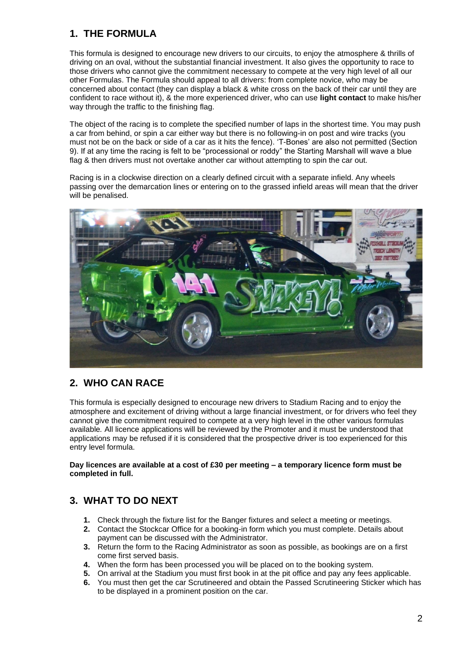# **1. THE FORMULA**

This formula is designed to encourage new drivers to our circuits, to enjoy the atmosphere & thrills of driving on an oval, without the substantial financial investment. It also gives the opportunity to race to those drivers who cannot give the commitment necessary to compete at the very high level of all our other Formulas. The Formula should appeal to all drivers: from complete novice, who may be concerned about contact (they can display a black & white cross on the back of their car until they are confident to race without it), & the more experienced driver, who can use **light contact** to make his/her way through the traffic to the finishing flag.

The object of the racing is to complete the specified number of laps in the shortest time. You may push a car from behind, or spin a car either way but there is no following-in on post and wire tracks (you must not be on the back or side of a car as it hits the fence). 'T-Bones' are also not permitted (Section 9). If at any time the racing is felt to be "processional or roddy" the Starting Marshall will wave a blue flag & then drivers must not overtake another car without attempting to spin the car out.

Racing is in a clockwise direction on a clearly defined circuit with a separate infield. Any wheels passing over the demarcation lines or entering on to the grassed infield areas will mean that the driver will be penalised.



### **2. WHO CAN RACE**

This formula is especially designed to encourage new drivers to Stadium Racing and to enjoy the atmosphere and excitement of driving without a large financial investment, or for drivers who feel they cannot give the commitment required to compete at a very high level in the other various formulas available*.* All licence applications will be reviewed by the Promoter and it must be understood that applications may be refused if it is considered that the prospective driver is too experienced for this entry level formula.

**Day licences are available at a cost of £30 per meeting – a temporary licence form must be completed in full.**

# **3. WHAT TO DO NEXT**

- **1.** Check through the fixture list for the Banger fixtures and select a meeting or meetings.
- **2.** Contact the Stockcar Office for a booking-in form which you must complete. Details about payment can be discussed with the Administrator.
- **3.** Return the form to the Racing Administrator as soon as possible, as bookings are on a first come first served basis.
- **4.** When the form has been processed you will be placed on to the booking system.
- **5.** On arrival at the Stadium you must first book in at the pit office and pay any fees applicable.
- **6.** You must then get the car Scrutineered and obtain the Passed Scrutineering Sticker which has to be displayed in a prominent position on the car.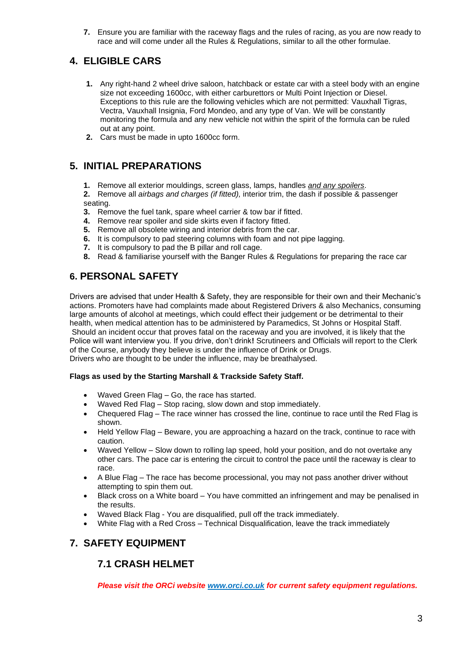**7.** Ensure you are familiar with the raceway flags and the rules of racing, as you are now ready to race and will come under all the Rules & Regulations, similar to all the other formulae.

# **4. ELIGIBLE CARS**

- **1.** Any right-hand 2 wheel drive saloon, hatchback or estate car with a steel body with an engine size not exceeding 1600cc, with either carburettors or Multi Point Injection or Diesel. Exceptions to this rule are the following vehicles which are not permitted: Vauxhall Tigras, Vectra, Vauxhall Insignia, Ford Mondeo, and any type of Van. We will be constantly monitoring the formula and any new vehicle not within the spirit of the formula can be ruled out at any point.
- **2.** Cars must be made in upto 1600cc form.

# **5. INITIAL PREPARATIONS**

**1.** Remove all exterior mouldings, screen glass, lamps, handles *and any spoilers*.

**2.** Remove all *airbags and charges (if fitted),* interior trim, the dash if possible & passenger seating.

- **3.** Remove the fuel tank, spare wheel carrier & tow bar if fitted.
- **4.** Remove rear spoiler and side skirts even if factory fitted.
- **5.** Remove all obsolete wiring and interior debris from the car.
- **6.** It is compulsory to pad steering columns with foam and not pipe lagging.
- **7.** It is compulsory to pad the B pillar and roll cage.
- **8.** Read & familiarise yourself with the Banger Rules & Regulations for preparing the race car

# **6. PERSONAL SAFETY**

Drivers are advised that under Health & Safety, they are responsible for their own and their Mechanic's actions. Promoters have had complaints made about Registered Drivers & also Mechanics, consuming large amounts of alcohol at meetings, which could effect their judgement or be detrimental to their health, when medical attention has to be administered by Paramedics, St Johns or Hospital Staff. Should an incident occur that proves fatal on the raceway and you are involved, it is likely that the Police will want interview you. If you drive, don't drink**!** Scrutineers and Officials will report to the Clerk of the Course, anybody they believe is under the influence of Drink or Drugs. Drivers who are thought to be under the influence, may be breathalysed.

### **Flags as used by the Starting Marshall & Trackside Safety Staff.**

- Waved Green Flag Go, the race has started.
- Waved Red Flag Stop racing, slow down and stop immediately.
- Chequered Flag The race winner has crossed the line, continue to race until the Red Flag is shown.
- Held Yellow Flag Beware, you are approaching a hazard on the track, continue to race with caution.
- Waved Yellow Slow down to rolling lap speed, hold your position, and do not overtake any other cars. The pace car is entering the circuit to control the pace until the raceway is clear to race.
- A Blue Flag The race has become processional, you may not pass another driver without attempting to spin them out.
- Black cross on a White board You have committed an infringement and may be penalised in the results.
- Waved Black Flag You are disqualified, pull off the track immediately.
- White Flag with a Red Cross Technical Disqualification, leave the track immediately

### **7. SAFETY EQUIPMENT**

### **7.1 CRASH HELMET**

*Please visit the ORCi website [www.orci.co.uk](http://www.orci.co.uk/) for current safety equipment regulations.*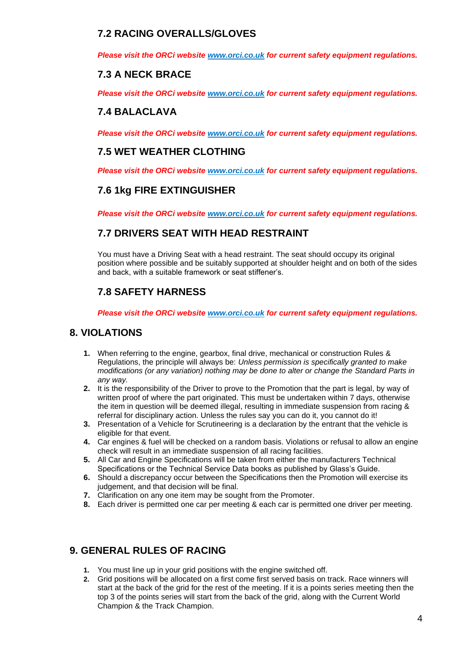## **7.2 RACING OVERALLS/GLOVES**

*Please visit the ORCi website [www.orci.co.uk](http://www.orci.co.uk/) for current safety equipment regulations.*

## **7.3 A NECK BRACE**

*Please visit the ORCi website [www.orci.co.uk](http://www.orci.co.uk/) for current safety equipment regulations.*

### **7.4 BALACLAVA**

*Please visit the ORCi website [www.orci.co.uk](http://www.orci.co.uk/) for current safety equipment regulations.*

### **7.5 WET WEATHER CLOTHING**

*Please visit the ORCi website [www.orci.co.uk](http://www.orci.co.uk/) for current safety equipment regulations.*

### **7.6 1kg FIRE EXTINGUISHER**

*Please visit the ORCi website [www.orci.co.uk](http://www.orci.co.uk/) for current safety equipment regulations.*

### **7.7 DRIVERS SEAT WITH HEAD RESTRAINT**

You must have a Driving Seat with a head restraint. The seat should occupy its original position where possible and be suitably supported at shoulder height and on both of the sides and back, with a suitable framework or seat stiffener's.

# **7.8 SAFETY HARNESS**

*Please visit the ORCi website [www.orci.co.uk](http://www.orci.co.uk/) for current safety equipment regulations.*

### **8. VIOLATIONS**

- **1.** When referring to the engine, gearbox, final drive, mechanical or construction Rules & Regulations, the principle will always be: *Unless permission is specifically granted to make modifications (or any variation) nothing may be done to alter or change the Standard Parts in any way.*
- **2.** It is the responsibility of the Driver to prove to the Promotion that the part is legal, by way of written proof of where the part originated. This must be undertaken within 7 days, otherwise the item in question will be deemed illegal, resulting in immediate suspension from racing & referral for disciplinary action. Unless the rules say you can do it, you cannot do it!
- **3.** Presentation of a Vehicle for Scrutineering is a declaration by the entrant that the vehicle is eligible for that event.
- **4.** Car engines & fuel will be checked on a random basis. Violations or refusal to allow an engine check will result in an immediate suspension of all racing facilities.
- **5.** All Car and Engine Specifications will be taken from either the manufacturers Technical Specifications or the Technical Service Data books as published by Glass's Guide.
- **6.** Should a discrepancy occur between the Specifications then the Promotion will exercise its judgement, and that decision will be final.
- **7.** Clarification on any one item may be sought from the Promoter.
- **8.** Each driver is permitted one car per meeting & each car is permitted one driver per meeting.

### **9. GENERAL RULES OF RACING**

- **1.** You must line up in your grid positions with the engine switched off.
- **2.** Grid positions will be allocated on a first come first served basis on track. Race winners will start at the back of the grid for the rest of the meeting. If it is a points series meeting then the top 3 of the points series will start from the back of the grid, along with the Current World Champion & the Track Champion.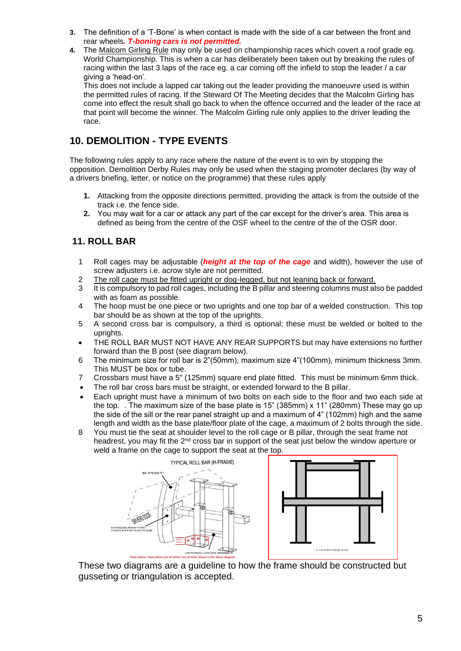- **3.** The definition of a 'T-Bone' is when contact is made with the side of a car between the front and rear wheels*. T-boning cars is not permitted.*
- **4.** The Malcom Girling Rule may only be used on championship races which covert a roof grade eg. World Championship. This is when a car has deliberately been taken out by breaking the rules of racing within the last 3 laps of the race eg. a car coming off the infield to stop the leader / a car giving a 'head-on'.

This does not include a lapped car taking out the leader providing the manoeuvre used is within the permitted rules of racing. If the Steward Of The Meeting decides that the Malcolm Girling has come into effect the result shall go back to when the offence occurred and the leader of the race at that point will become the winner. The Malcolm Girling rule only applies to the driver leading the race.

## **10. DEMOLITION - TYPE EVENTS**

The following rules apply to any race where the nature of the event is to win by stopping the opposition. Demolition Derby Rules may only be used when the staging promoter declares (by way of a drivers briefing, letter, or notice on the programme) that these rules apply

- **1.** Attacking from the opposite directions permitted, providing the attack is from the outside of the track i.e. the fence side.
- **2.** You may wait for a car or attack any part of the car except for the driver's area. This area is defined as being from the centre of the OSF wheel to the centre of the of the OSR door.

### **11. ROLL BAR**

- 1 Roll cages may be adjustable (*height at the top of the cage* and width), however the use of screw adjusters i.e. acrow style are not permitted.
- 2 The roll cage must be fitted upright or dog-legged, but not leaning back or forward.
- 3 It is compulsory to pad roll cages, including the B pillar and steering columns must also be padded with as foam as possible.
- 4 The hoop must be one piece or two uprights and one top bar of a welded construction. This top bar should be as shown at the top of the uprights.
- 5 A second cross bar is compulsory, a third is optional; these must be welded or bolted to the uprights.
- THE ROLL BAR MUST NOT HAVE ANY REAR SUPPORTS but may have extensions no further forward than the B post (see diagram below).
- 6 The minimum size for roll bar is 2"(50mm), maximum size 4"(100mm), minimum thickness 3mm. This MUST be box or tube.
- 7 Crossbars must have a 5" (125mm) square end plate fitted. This must be minimum 6mm thick.
- The roll bar cross bars must be straight, or extended forward to the B pillar.
- Each upright must have a minimum of two bolts on each side to the floor and two each side at the top. . The maximum size of the base plate is 15" (385mm) x 11" (280mm) These may go up the side of the sill or the rear panel straight up and a maximum of 4" (102mm) high and the same length and width as the base plate/floor plate of the cage, a maximum of 2 bolts through the side.
- 8 You must tie the seat at shoulder level to the roll cage or B pillar, through the seat frame not headrest, you may fit the  $2<sup>nd</sup>$  cross bar in support of the seat just below the window aperture or weld a frame on the cage to support the seat at the top.





These two diagrams are a guideline to how the frame should be constructed but gusseting or triangulation is accepted.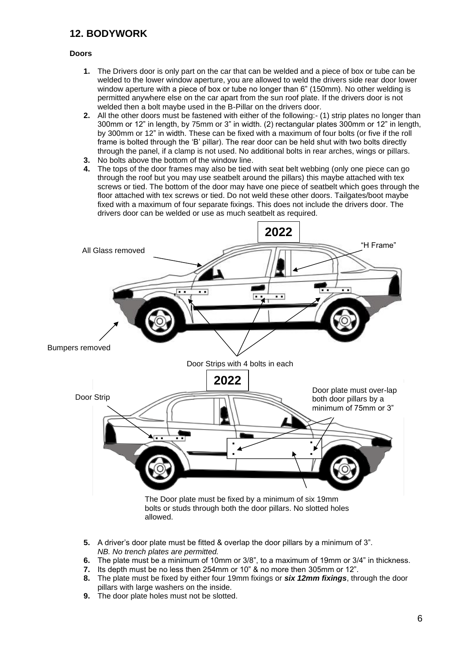# **12. BODYWORK**

#### **Doors**

- **1.** The Drivers door is only part on the car that can be welded and a piece of box or tube can be welded to the lower window aperture, you are allowed to weld the drivers side rear door lower window aperture with a piece of box or tube no longer than 6" (150mm). No other welding is permitted anywhere else on the car apart from the sun roof plate. If the drivers door is not welded then a bolt maybe used in the B-Pillar on the drivers door.
- **2.** All the other doors must be fastened with either of the following:- (1) strip plates no longer than 300mm or 12" in length, by 75mm or 3" in width. (2) rectangular plates 300mm or 12" in length, by 300mm or 12" in width. These can be fixed with a maximum of four bolts (or five if the roll frame is bolted through the 'B' pillar). The rear door can be held shut with two bolts directly through the panel, if a clamp is not used. No additional bolts in rear arches, wings or pillars.
- **3.** No bolts above the bottom of the window line.
- **4.** The tops of the door frames may also be tied with seat belt webbing (only one piece can go through the roof but you may use seatbelt around the pillars) this maybe attached with tex screws or tied. The bottom of the door may have one piece of seatbelt which goes through the floor attached with tex screws or tied. Do not weld these other doors. Tailgates/boot maybe fixed with a maximum of four separate fixings. This does not include the drivers door. The drivers door can be welded or use as much seatbelt as required.



- **5.** A driver's door plate must be fitted & overlap the door pillars by a minimum of 3". *NB. No trench plates are permitted.*
- **6.** The plate must be a minimum of 10mm or 3/8", to a maximum of 19mm or 3/4" in thickness.<br>**7.** Its depth must be no less then 254mm or 10" & no more then 305mm or 12".
- **7.** Its depth must be no less then 254mm or 10" & no more then 305mm or 12".
- **8.** The plate must be fixed by either four 19mm fixings or *six 12mm fixings*, through the door pillars with large washers on the inside.
- **9.** The door plate holes must not be slotted.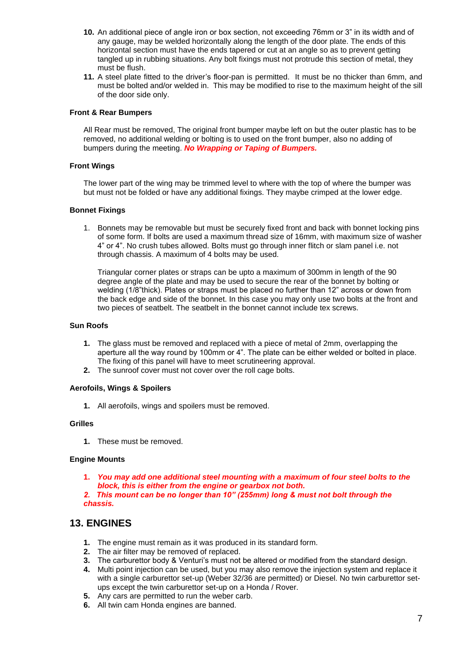- **10.** An additional piece of angle iron or box section, not exceeding 76mm or 3" in its width and of any gauge, may be welded horizontally along the length of the door plate. The ends of this horizontal section must have the ends tapered or cut at an angle so as to prevent getting tangled up in rubbing situations. Any bolt fixings must not protrude this section of metal, they must be flush.
- **11.** A steel plate fitted to the driver's floor-pan is permitted. It must be no thicker than 6mm, and must be bolted and/or welded in. This may be modified to rise to the maximum height of the sill of the door side only.

#### **Front & Rear Bumpers**

All Rear must be removed, The original front bumper maybe left on but the outer plastic has to be removed, no additional welding or bolting is to used on the front bumper, also no adding of bumpers during the meeting. *No Wrapping or Taping of Bumpers.*

#### **Front Wings**

The lower part of the wing may be trimmed level to where with the top of where the bumper was but must not be folded or have any additional fixings. They maybe crimped at the lower edge.

#### **Bonnet Fixings**

1. Bonnets may be removable but must be securely fixed front and back with bonnet locking pins of some form. If bolts are used a maximum thread size of 16mm, with maximum size of washer 4" or 4". No crush tubes allowed. Bolts must go through inner flitch or slam panel i.e. not through chassis. A maximum of 4 bolts may be used.

Triangular corner plates or straps can be upto a maximum of 300mm in length of the 90 degree angle of the plate and may be used to secure the rear of the bonnet by bolting or welding (1/8"thick). Plates or straps must be placed no further than 12" across or down from the back edge and side of the bonnet. In this case you may only use two bolts at the front and two pieces of seatbelt. The seatbelt in the bonnet cannot include tex screws.

#### **Sun Roofs**

- **1.** The glass must be removed and replaced with a piece of metal of 2mm, overlapping the aperture all the way round by 100mm or 4". The plate can be either welded or bolted in place. The fixing of this panel will have to meet scrutineering approval.
- **2.** The sunroof cover must not cover over the roll cage bolts.

#### **Aerofoils, Wings & Spoilers**

**1.** All aerofoils, wings and spoilers must be removed.

#### **Grilles**

**1.** These must be removed.

#### **Engine Mounts**

**1.** *You may add one additional steel mounting with a maximum of four steel bolts to the block, this is either from the engine or gearbox not both.*

*2. This mount can be no longer than 10" (255mm) long & must not bolt through the chassis.*

### **13. ENGINES**

- **1.** The engine must remain as it was produced in its standard form.
- **2.** The air filter may be removed of replaced.
- **3.** The carburettor body & Venturi's must not be altered or modified from the standard design.
- **4.** Multi point injection can be used, but you may also remove the injection system and replace it with a single carburettor set-up (Weber 32/36 are permitted) or Diesel. No twin carburettor setups except the twin carburettor set-up on a Honda / Rover.
- **5.** Any cars are permitted to run the weber carb.
- **6.** All twin cam Honda engines are banned.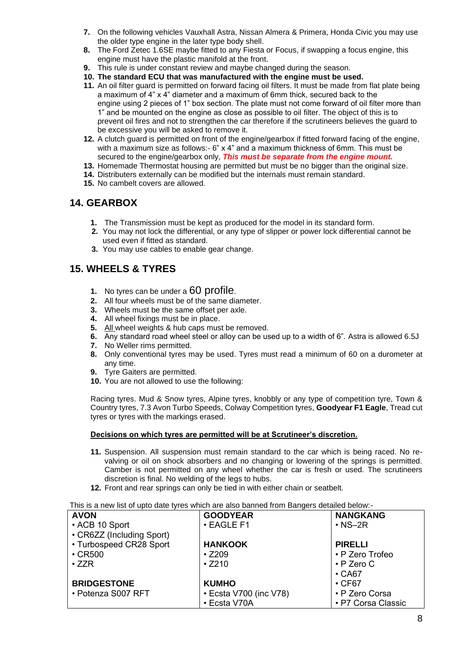- **7.** On the following vehicles Vauxhall Astra, Nissan Almera & Primera, Honda Civic you may use the older type engine in the later type body shell.
- **8.** The Ford Zetec 1.6SE maybe fitted to any Fiesta or Focus, if swapping a focus engine, this engine must have the plastic manifold at the front.
- **9.** This rule is under constant review and maybe changed during the season.
- **10. The standard ECU that was manufactured with the engine must be used.**
- **11.** An oil filter guard is permitted on forward facing oil filters. It must be made from flat plate being a maximum of 4" x 4" diameter and a maximum of 6mm thick, secured back to the engine using 2 pieces of 1" box section. The plate must not come forward of oil filter more than 1" and be mounted on the engine as close as possible to oil filter. The object of this is to prevent oil fires and not to strengthen the car therefore if the scrutineers believes the guard to be excessive you will be asked to remove it.
- **12.** A clutch guard is permitted on front of the engine/gearbox if fitted forward facing of the engine, with a maximum size as follows:- 6" x 4" and a maximum thickness of 6mm. This must be secured to the engine/gearbox only, *This must be separate from the engine mount.*
- **13.** Homemade Thermostat housing are permitted but must be no bigger than the original size.
- **14.** Distributers externally can be modified but the internals must remain standard.
- **15.** No cambelt covers are allowed.

### **14. GEARBOX**

- **1.** The Transmission must be kept as produced for the model in its standard form.
- **2.** You may not lock the differential, or any type of slipper or power lock differential cannot be used even if fitted as standard.
- **3.** You may use cables to enable gear change.

### **15. WHEELS & TYRES**

- **1.** No tyres can be under a 60 profile.
- **2.** All four wheels must be of the same diameter.
- **3.** Wheels must be the same offset per axle.
- **4.** All wheel fixings must be in place.
- **5.** All wheel weights & hub caps must be removed.
- **6.** Any standard road wheel steel or alloy can be used up to a width of 6". Astra is allowed 6.5J
- **7.** No Weller rims permitted.
- **8.** Only conventional tyres may be used. Tyres must read a minimum of 60 on a durometer at any time.
- **9.** Tyre Gaiters are permitted.
- **10.** You are not allowed to use the following:

Racing tyres. Mud & Snow tyres, Alpine tyres, knobbly or any type of competition tyre, Town & Country tyres, 7.3 Avon Turbo Speeds, Colway Competition tyres, **Goodyear F1 Eagle**, Tread cut tyres or tyres with the markings erased.

#### **Decisions on which tyres are permitted will be at Scrutineer's discretion.**

- **11.** Suspension. All suspension must remain standard to the car which is being raced. No revalving or oil on shock absorbers and no changing or lowering of the springs is permitted. Camber is not permitted on any wheel whether the car is fresh or used. The scrutineers discretion is final. No welding of the legs to hubs.
- **12.** Front and rear springs can only be tied in with either chain or seatbelt.

#### This is a new list of upto date tyres which are also banned from Bangers detailed below:-

| <b>AVON</b>               | <b>GOODYEAR</b>        | <b>NANGKANG</b>    |
|---------------------------|------------------------|--------------------|
| • ACB 10 Sport            | • EAGLE F1             | $\cdot$ NS-2R      |
| • CR6ZZ (Including Sport) |                        |                    |
| • Turbospeed CR28 Sport   | <b>HANKOOK</b>         | <b>PIRELLI</b>     |
| $\cdot$ CR500             | $\cdot$ Z209           | • P Zero Trofeo    |
| $\cdot$ ZZR               | $\cdot$ Z210           | $\cdot$ P Zero C   |
|                           |                        | $\cdot$ CA67       |
| <b>BRIDGESTONE</b>        | <b>KUMHO</b>           | $\cdot$ CF67       |
| • Potenza S007 RFT        | • Ecsta V700 (inc V78) | • P Zero Corsa     |
|                           | • Ecsta V70A           | • P7 Corsa Classic |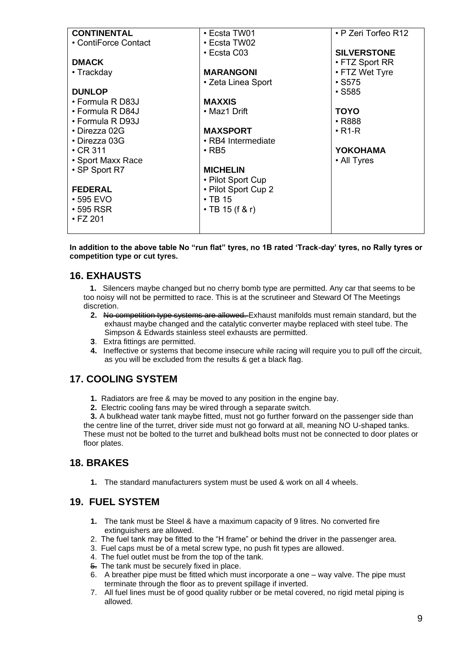| <b>CONTINENTAL</b>   | • Ecsta TW01        | • P Zeri Torfeo R12  |
|----------------------|---------------------|----------------------|
| • ContiForce Contact | • Ecsta TW02        |                      |
|                      | • Ecsta C03         | <b>SILVERSTONE</b>   |
| <b>DMACK</b>         |                     | $\cdot$ FTZ Sport RR |
| • Trackday           | <b>MARANGONI</b>    | • FTZ Wet Tyre       |
|                      | • Zeta Linea Sport  | $\cdot$ S575         |
| <b>DUNLOP</b>        |                     | $\cdot$ S585         |
| • Formula R D83J     | <b>MAXXIS</b>       |                      |
| • Formula R D84J     | • Maz1 Drift        | <b>TOYO</b>          |
| • Formula R D93J     |                     | • R888               |
| • Direzza 02G        | <b>MAXSPORT</b>     | $\cdot$ R1-R         |
| ▪ Direzza 03G        | • RB4 Intermediate  |                      |
| $\cdot$ CR 311       | $\cdot$ RB5         | YOKOHAMA             |
| • Sport Maxx Race    |                     | • All Tyres          |
| • SP Sport R7        | <b>MICHELIN</b>     |                      |
|                      | • Pilot Sport Cup   |                      |
| <b>FEDERAL</b>       | • Pilot Sport Cup 2 |                      |
| $\cdot$ 595 EVO      | $\cdot$ TB 15       |                      |
| $\cdot$ 595 RSR      | • TB 15 (f & r)     |                      |
| • FZ 201             |                     |                      |
|                      |                     |                      |

**In addition to the above table No "run flat" tyres, no 1B rated 'Track-day' tyres, no Rally tyres or competition type or cut tyres.** 

### **16. EXHAUSTS**

 **1.** Silencers maybe changed but no cherry bomb type are permitted. Any car that seems to be too noisy will not be permitted to race. This is at the scrutineer and Steward Of The Meetings discretion.

- **2.** No competition type systems are allowed. Exhaust manifolds must remain standard, but the exhaust maybe changed and the catalytic converter maybe replaced with steel tube. The Simpson & Edwards stainless steel exhausts are permitted.
- **3**. Extra fittings are permitted.
- **4.** Ineffective or systems that become insecure while racing will require you to pull off the circuit, as you will be excluded from the results & get a black flag.

### **17. COOLING SYSTEM**

- **1.** Radiators are free & may be moved to any position in the engine bay.
- **2.** Electric cooling fans may be wired through a separate switch.

**3.** A bulkhead water tank maybe fitted, must not go further forward on the passenger side than the centre line of the turret, driver side must not go forward at all, meaning NO U-shaped tanks. These must not be bolted to the turret and bulkhead bolts must not be connected to door plates or floor plates.

### **18. BRAKES**

**1.** The standard manufacturers system must be used & work on all 4 wheels.

### **19. FUEL SYSTEM**

- **1.** The tank must be Steel & have a maximum capacity of 9 litres. No converted fire extinguishers are allowed.
- 2. The fuel tank may be fitted to the "H frame" or behind the driver in the passenger area.
- 3. Fuel caps must be of a metal screw type, no push fit types are allowed.
- 4. The fuel outlet must be from the top of the tank.
- $\frac{1}{2}$ . The tank must be securely fixed in place.
- 6. A breather pipe must be fitted which must incorporate a one way valve. The pipe must terminate through the floor as to prevent spillage if inverted.
- 7. All fuel lines must be of good quality rubber or be metal covered, no rigid metal piping is allowed.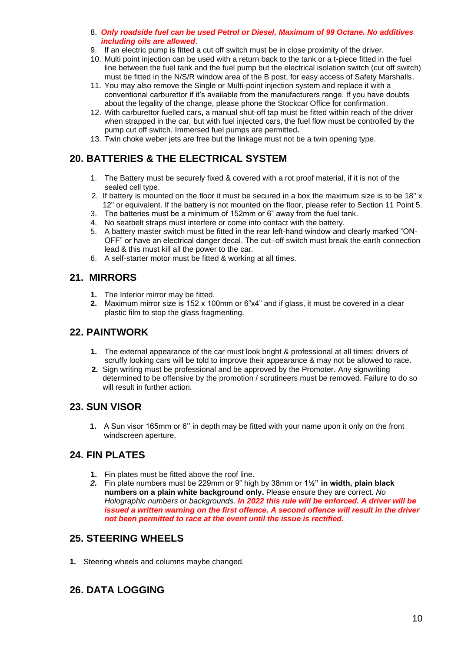- 8. *Only roadside fuel can be used Petrol or Diesel, Maximum of 99 Octane. No additives including oils are allowed*.
- 9. If an electric pump is fitted a cut off switch must be in close proximity of the driver.
- 10. Multi point injection can be used with a return back to the tank or a t-piece fitted in the fuel line between the fuel tank and the fuel pump but the electrical isolation switch (cut off switch) must be fitted in the N/S/R window area of the B post, for easy access of Safety Marshalls.
- 11. You may also remove the Single or Multi-point injection system and replace it with a conventional carburettor if it's available from the manufacturers range. If you have doubts about the legality of the change, please phone the Stockcar Office for confirmation.
- 12. With carburettor fuelled cars**,** a manual shut-off tap must be fitted within reach of the driver when strapped in the car*,* but with fuel injected cars, the fuel flow must be controlled by the pump cut off switch. Immersed fuel pumps are permitted*.*
- 13. Twin choke weber jets are free but the linkage must not be a twin opening type.

# **20. BATTERIES & THE ELECTRICAL SYSTEM**

- 1. The Battery must be securely fixed & covered with a rot proof material, if it is not of the sealed cell type.
- 2. If battery is mounted on the floor it must be secured in a box the maximum size is to be 18" x 12" or equivalent. If the battery is not mounted on the floor, please refer to Section 11 Point 5.
- 3. The batteries must be a minimum of 152mm or 6" away from the fuel tank.
- 4. No seatbelt straps must interfere or come into contact with the battery.
- 5. A battery master switch must be fitted in the rear left-hand window and clearly marked "ON-OFF" or have an electrical danger decal. The cut–off switch must break the earth connection lead & this must kill all the power to the car.
- 6. A self-starter motor must be fitted & working at all times.

### **21. MIRRORS**

- **1.** The Interior mirror may be fitted.
- **2.** Maximum mirror size is 152 x 100mm or 6"x4" and if glass, it must be covered in a clear plastic film to stop the glass fragmenting.

### **22. PAINTWORK**

- **1.** The external appearance of the car must look bright & professional at all times; drivers of scruffy looking cars will be told to improve their appearance & may not be allowed to race.
- **2.** Sign writing must be professional and be approved by the Promoter. Any signwriting determined to be offensive by the promotion / scrutineers must be removed. Failure to do so will result in further action.

### **23. SUN VISOR**

**1.** A Sun visor 165mm or 6'' in depth may be fitted with your name upon it only on the front windscreen aperture.

### **24. FIN PLATES**

- **1.** Fin plates must be fitted above the roof line.
- *2.* Fin plate numbers must be 229mm or 9" high by 38mm or 1**½" in width, plain black numbers on a plain white background only.** Please ensure they are correct. *No Holographic numbers or backgrounds. In 2022 this rule will be enforced. A driver will be issued a written warning on the first offence. A second offence will result in the driver not been permitted to race at the event until the issue is rectified.*

### **25. STEERING WHEELS**

**1.** Steering wheels and columns maybe changed.

### **26. DATA LOGGING**